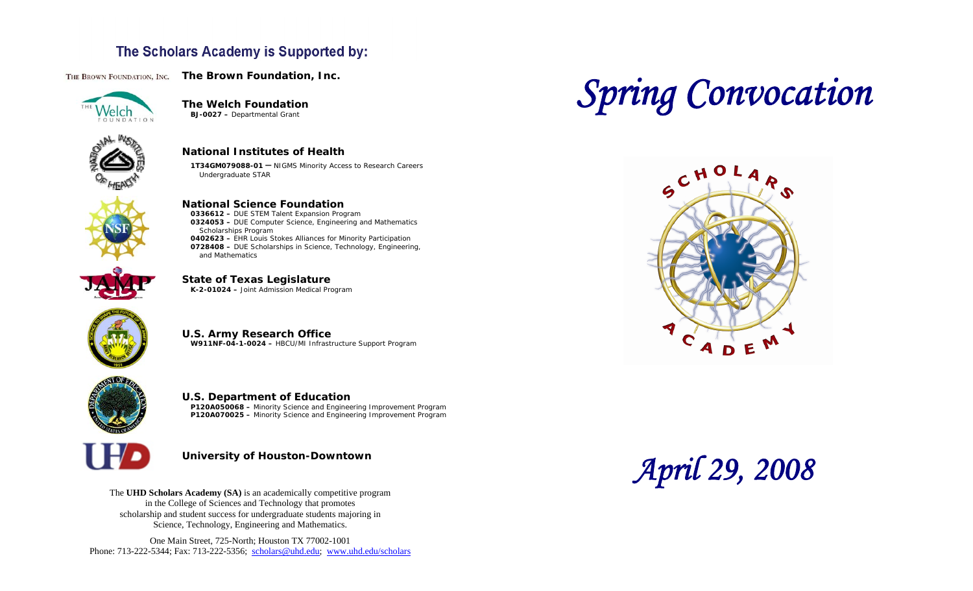### The Scholars Academy is Supported by:

THE BROWN FOUNDATION, INC. The Brown Foundation, Inc.



**The Welch Foundation BJ-0027 –** Departmental Grant



**National Institutes of Health** 

**1T34GM079088-01 –** NIGMS Minority Access to Research Careers Undergraduate STAR



#### **National Science Foundation**

**0336612 –** DUE STEM Talent Expansion Program **0324053 –** DUE Computer Science, Engineering and Mathematics Scholarships Program **0402623 –** EHR Louis Stokes Alliances for Minority Participation **0728408 –** DUE Scholarships in Science, Technology, Engineering, and Mathematics



**State of Texas Legislature K-2-01024 –** Joint Admission Medical Program



**U.S. Army Research Office W911NF-04-1-0024 –** HBCU/MI Infrastructure Support Program



#### **U.S. Department of Education P120A050068 –** Minority Science and Engineering Improvement Program

**P120A070025 –** Minority Science and Engineering Improvement Program



#### **University of Houston-Downtown**

The **UHD Scholars Academy (SA)** is an academically competitive program in the College of Sciences and Technology that promotes scholarship and student success for undergraduate students majoring in Science, Technology, Engineering and Mathematics.

One Main Street, 725-North; Houston TX 77002-1001 Phone: 713-222-5344; Fax: 713-222-5356; [scholars@uhd.edu](mailto:scholars@uhd.edu); <www.uhd.edu/scholars>

# *Spring Convocation*



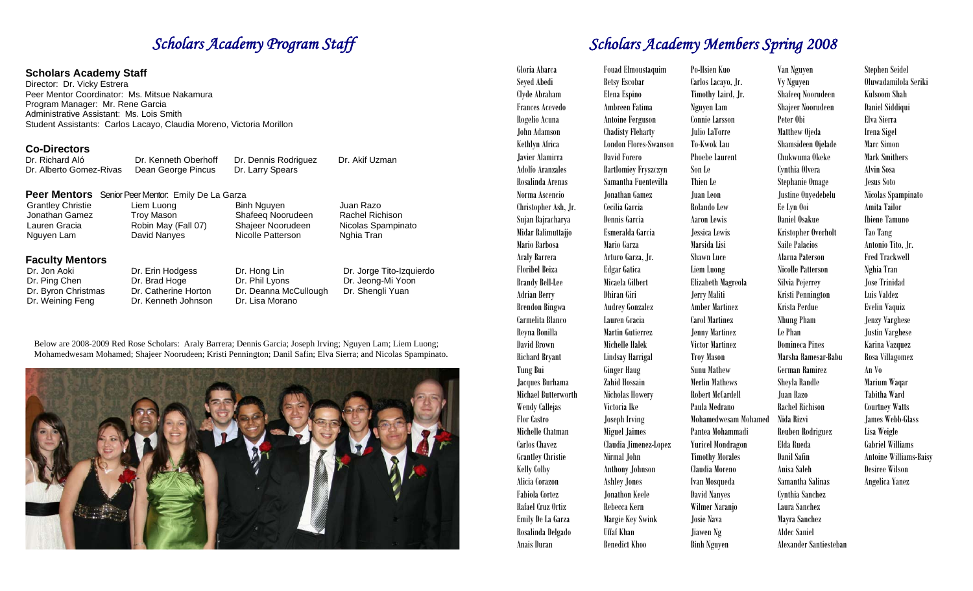#### **Scholars Academy Staff**

Director: Dr. Vicky Estrera Peer Mentor Coordinator: Ms. Mitsue Nakamura Program Manager: Mr. Rene Garcia Administrative Assistant: Ms. Lois Smith Student Assistants: Carlos Lacayo, Claudia Moreno, Victoria Morillon

#### **Co-Directors**

| Dr. Richard Aló         | Dr. Kenr |
|-------------------------|----------|
| Dr. Alberto Gomez-Rivas | Dean Ge  |

neth Oberhoff Dr. Dennis Rodriguez eorge Pincus Dr. Larry Spears

#### **Peer Mentors** Senior Peer Mentor: Emily De La Garza

| Grantley Christie | Liem Luong          | Binh Nguyen       | Juan Razo          |
|-------------------|---------------------|-------------------|--------------------|
| Jonathan Gamez    | Troy Mason          | Shafeeg Noorudeen | Rachel Richison    |
| Lauren Gracia     | Robin May (Fall 07) | Shajeer Noorudeen | Nicolas Spampinato |
| Nguyen Lam        | David Nanyes        | Nicolle Patterson | Nghia Tran         |
|                   |                     |                   |                    |
|                   |                     |                   |                    |

# **Faculty Mentors**

Dr. Jon Aoki Dr. Erin Hodgess Dr. Hong Lin<br>Dr. Ping Chen Dr. Brad Hoge Dr. Phil Lyons Dr. Ping Chen Dr. Brad Hoge Dr. Phil Lyons<br>Dr. Byron Christmas Dr. Catherine Horton Dr. Deanna Mo Dr. Catherine Horton Dr. Deanna McCullough Dr. Weining Feng Dr. Kenneth Johnson Dr. Lisa Morano

Dr. Jorge Tito-Izquierdo Dr. Jeong-Mi Yoon Dr. Shengli Yuan

Dr. Akif Uzman

Below are 2008-2009 Red Rose Scholars: Araly Barrera; Dennis Garcia; Joseph Irving; Nguyen Lam; Liem Luong; Mohamedwesam Mohamed; Shajeer Noorudeen; Kristi Pennington; Danil Safin; Elva Sierra; and Nicolas Spampinato.



# **Scholars Academy Program Staff** Scholars Academy Members Spring 2008

| Gloria Abarca            | Fouad Elmoustaquim           | Po-Hsien Kuo             | Van Nguyen               | <b>Stephen Seidel</b>         |
|--------------------------|------------------------------|--------------------------|--------------------------|-------------------------------|
| Seyed Abedi              | <b>Betsy Escobar</b>         | Carlos Lacayo, Jr.       | <b>Vy Nguyen</b>         | Oluwadamilola Seriki          |
| Clyde Abraham            | Elena Espino                 | Timothy Laird, Jr.       | <b>Shafeeq Noorudeen</b> | <b>Kulsoom Shah</b>           |
| <b>Frances Acevedo</b>   | Ambreen Fatima               | Nguyen Lam               | <b>Shajeer Noorudeen</b> | Daniel Siddiqui               |
| Rogelio Acuna            | <b>Antoine Ferguson</b>      | Connie Larsson           | Peter Obi                | Elva Sierra                   |
| John Adamson             | <b>Chadisty Fleharty</b>     | Julio LaTorre            | Matthew Ojeda            | Irena Sigel                   |
| Kethlyn Africa           | <b>London Flores-Swanson</b> | To-Kwok Lau              | Shamsideen Ojelade       | Marc Simon                    |
| Javier Alamirra          | David Forero                 | <b>Phoebe Laurent</b>    | Chukwuma Okeke           | <b>Mark Smithers</b>          |
| <b>Adolfo Aranzales</b>  | <b>Bartlomiey Fryszczyn</b>  | Son Le                   | Cynthia Olvera           | <b>Alvin Sosa</b>             |
| Rosalinda Arenas         | Samantha Fuentevilla         | Thien Le                 | Stephanie Omage          | Jesus Soto                    |
| Norma Ascencio           | Jonathan Gamez               | Juan Leon                | Justine Onyedebelu       | Nicolas Spampinato            |
| Christopher Ash, Jr.     | Cecilia Garcia               | Rolando Lew              | Ee Lyn Ooi               | Amita Tailor                  |
| Sujan Bajracharya        | Dennis Garcia                | <b>Aaron Lewis</b>       | Daniel Osakue            | <b>Ibiene Tamuno</b>          |
| Midar Balimuttajjo       | Esmeralda Garcia             | Jessica Lewis            | Kristopher Overholt      | Tao Tang                      |
| Mario Barbosa            | Mario Garza                  | Marsida Lisi             | <b>Saile Palacios</b>    | Antonio Tito, Jr.             |
| Araly Barrera            | Arturo Garza, Jr.            | <b>Shawn Luce</b>        | Alarna Paterson          | <b>Fred Trackwell</b>         |
| <b>Floribel Beiza</b>    | <b>Edgar Gatica</b>          | Liem Luong               | <b>Nicolle Patterson</b> | Nghia Tran                    |
| <b>Brandy Bell-Lee</b>   | Micaela Gilbert              | Elizabeth Magreola       | Silvia Pejerrey          | <b>Jose Trinidad</b>          |
| <b>Adrian Berry</b>      | Dhiran Giri                  | <b>Jerry Maliti</b>      | Kristi Pennington        | Luis Valdez                   |
| <b>Brendon Bingwa</b>    | <b>Audrey Gonzalez</b>       | <b>Amber Martinez</b>    | Krista Perdue            | Evelin Vaquiz                 |
| Carmelita Blanco         | Lauren Gracia                | <b>Carol Martinez</b>    | <b>Nhung Pham</b>        | <b>Jenzy Varghese</b>         |
| Reyna Bonilla            | Martin Gutierrez             | <b>Jenny Martinez</b>    | Le Phan                  | <b>Justin Varghese</b>        |
| David Brown              | Michelle Halek               | <b>Victor Martinez</b>   | <b>Domineca Pines</b>    | Karina Vazquez                |
| <b>Richard Bryant</b>    | Lindsay Harrigal             | <b>Troy Mason</b>        | Marsha Ramesar-Babu      | Rosa Villagomez               |
| Tung Bui                 | <b>Ginger Haug</b>           | <b>Sunu Mathew</b>       | <b>German Ramirez</b>    | An Vo                         |
| Jacques Burhama          | Zahid Hossain                | <b>Merlin Mathews</b>    | Sheyla Randle            | Marium Waqar                  |
| Michael Butterworth      | <b>Nicholas Howery</b>       | <b>Robert McCardell</b>  | Juan Razo                | Tabitha Ward                  |
| <b>Wendy Callejas</b>    | Victoria Ike                 | Paula Medrano            | <b>Rachel Richison</b>   | <b>Courtney Watts</b>         |
| Flor Castro              | <b>Joseph Irving</b>         | Mohamedwesam Mohamed     | Nida Rizvi               | <b>James Webb-Glass</b>       |
| Michelle Chatman         | <b>Miguel Jaimes</b>         | Pantea Mohammadi         | <b>Reuben Rodriguez</b>  | Lisa Weigle                   |
| Carlos Chavez            | Claudia Jimenez-Lopez        | <b>Yuricel Mondragon</b> | Elda Rueda               | <b>Gabriel Williams</b>       |
| <b>Grantley Christie</b> | Nirmal John                  | <b>Timothy Morales</b>   | <b>Danil Safin</b>       | <b>Antoine Williams-Baisy</b> |
| Kelly Colby              | <b>Anthony Johnson</b>       | Claudia Moreno           | Anisa Saleh              | <b>Desiree Wilson</b>         |
| Alicia Corazon           | <b>Ashley Jones</b>          | Ivan Mosqueda            | Samantha Salinas         | <b>Angelica Yanez</b>         |
| <b>Fabiola Cortez</b>    | Jonathon Keele               | <b>David Nanyes</b>      | Cynthia Sanchez          |                               |
| Rafael Cruz Ortiz        | Rebecca Kern                 | Wilmer Naranjo           | Laura Sanchez            |                               |
| Emily De La Garza        | Margie Key Swink             | Josie Nava               | Mayra Sanchez            |                               |
| Rosalinda Delgado        | <b>Uffaf Khan</b>            | Jiawen Ng                | <b>Aldec Saniel</b>      |                               |
| Anais Duran              | <b>Benedict Khoo</b>         | <b>Binh Nguyen</b>       | Alexander Santiesteban   |                               |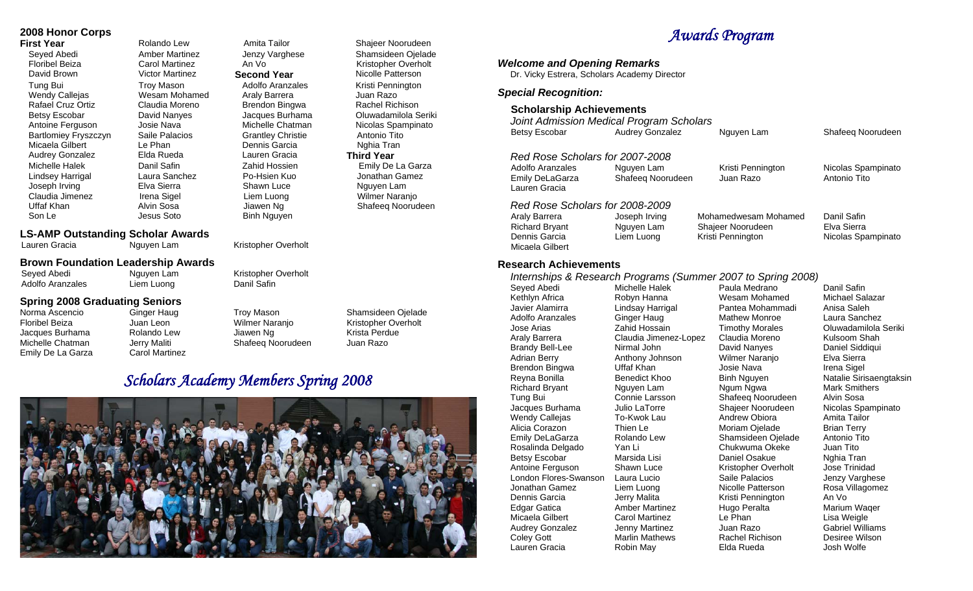#### **2008 Honor Corps**

Claudia Jimenez Irena Sigel Liem Luong Wilmer Naranjo

Seyed Abedi Amber Martinez Jenzy Varghese Shamsideen Ojelade<br>Floribel Beiza Carol Martinez An Vo David Brown Victor Martinez **Second Year** Nicolle Patterson Tung Bui **Troy Mason** Adolfo Aranzales Kristi Pennington Wendy Callejas **Mesam Mohamed** Araly Barrera and Juan Razo Rafael Cruz Ortiz Claudia Moreno Brendon Bingwa Rachel Richison Antoine Ferguson Josie Nava Michelle Chatman Nicolas Spampinato Bartlomiey Fryszczyn Saile Palacios Grantley Christie Antonio Tito Micaela Gilbert Le Phan Dennis Garcia Nghia Tran<br>Audrey Gonzalez Elda Rueda Lauren Gracia **Third Year** Audrey Gonzalez Elda Rueda Lauren Gracia **Third Year**  Michelle Halek Danil Safin Zahid Hossien Emily De La Garza Lindsey Harrigal Laura Sanchez Po-Hsien Kuo Jonathan Gamez Joseph Irving Elva Sierra Shawn Luce Nguyen Lam Uffaf Khan Alvin Sosa Jiawen Ng Shafeeq Noorudeen Son Le **Jesus Soto** Binh Nguyen

# **First Year Rolando Lew** Amita Tailor Shajeer Noorudeen Carol Martinez **An Vo Kristopher Overholt**

**Oluwadamilola Seriki** 

#### **LS-AMP Outstanding Scholar Awards**

Lauren Gracia **Nguyen Lam** Kristopher Overholt

#### **Brown Foundation Leadership Awards**

Seyed Abedi **Nguyen Lam** Kristopher Overholt<br>Adolfo Aranzales **Clean Luong** Danil Safin Adolfo Aranzales

# **Spring 2008 Graduating Seniors**<br>Norma Ascencio<br>Ginger Haug

- Emily De La Garza Carol Martinez
- Norma Ascencio Ginger Haug Troy Mason Shamsideen Ojelade Jacques Burhama Rolando Lew Jiawen Ng Krista Perdue Michelle Chatman Jerry Maliti Shafeeq Noorudeen
- Kristopher Overholt

## *Scholars Academy Members Spring 2008*



# *Awards Program*

| <b>Welcome and Opening Remarks</b><br>Dr. Vicky Estrera, Scholars Academy Director                                                                                                                                                                                                                                                                                                                                                                                         |                                                                                                                                                                                                                                                                                                                                                                    |                                                                                                                                                                                                                                                                                                                                                                                                                                                                                                    |                                                                                                                                                                                                                                                                                                                                                                                                |  |  |  |  |
|----------------------------------------------------------------------------------------------------------------------------------------------------------------------------------------------------------------------------------------------------------------------------------------------------------------------------------------------------------------------------------------------------------------------------------------------------------------------------|--------------------------------------------------------------------------------------------------------------------------------------------------------------------------------------------------------------------------------------------------------------------------------------------------------------------------------------------------------------------|----------------------------------------------------------------------------------------------------------------------------------------------------------------------------------------------------------------------------------------------------------------------------------------------------------------------------------------------------------------------------------------------------------------------------------------------------------------------------------------------------|------------------------------------------------------------------------------------------------------------------------------------------------------------------------------------------------------------------------------------------------------------------------------------------------------------------------------------------------------------------------------------------------|--|--|--|--|
| <b>Special Recognition:</b>                                                                                                                                                                                                                                                                                                                                                                                                                                                |                                                                                                                                                                                                                                                                                                                                                                    |                                                                                                                                                                                                                                                                                                                                                                                                                                                                                                    |                                                                                                                                                                                                                                                                                                                                                                                                |  |  |  |  |
| <b>Scholarship Achievements</b><br>Joint Admission Medical Program Scholars<br><b>Betsy Escobar</b>                                                                                                                                                                                                                                                                                                                                                                        | <b>Audrey Gonzalez</b>                                                                                                                                                                                                                                                                                                                                             | Nguyen Lam                                                                                                                                                                                                                                                                                                                                                                                                                                                                                         | Shafeeq Noorudeen                                                                                                                                                                                                                                                                                                                                                                              |  |  |  |  |
| Red Rose Scholars for 2007-2008<br><b>Adolfo Aranzales</b><br>Emily DeLaGarza<br>Lauren Gracia                                                                                                                                                                                                                                                                                                                                                                             | Nguyen Lam<br>Shafeeq Noorudeen                                                                                                                                                                                                                                                                                                                                    | Kristi Pennington<br>Juan Razo                                                                                                                                                                                                                                                                                                                                                                                                                                                                     | Nicolas Spampinato<br>Antonio Tito                                                                                                                                                                                                                                                                                                                                                             |  |  |  |  |
| Red Rose Scholars for 2008-2009<br>Araly Barrera<br><b>Richard Bryant</b><br>Dennis Garcia<br>Micaela Gilbert                                                                                                                                                                                                                                                                                                                                                              | Joseph Irving<br>Nguyen Lam<br>Liem Luong                                                                                                                                                                                                                                                                                                                          | Mohamedwesam Mohamed<br>Shajeer Noorudeen<br>Kristi Pennington                                                                                                                                                                                                                                                                                                                                                                                                                                     | Danil Safin<br>Elva Sierra<br>Nicolas Spampinato                                                                                                                                                                                                                                                                                                                                               |  |  |  |  |
| <b>Research Achievements</b><br>Seyed Abedi<br>Kethlyn Africa<br>Javier Alamirra<br>Adolfo Aranzales<br>Jose Arias<br>Araly Barrera<br><b>Brandy Bell-Lee</b><br><b>Adrian Berry</b><br>Brendon Bingwa<br>Reyna Bonilla<br><b>Richard Bryant</b><br>Tung Bui<br>Jacques Burhama<br><b>Wendy Callejas</b><br>Alicia Corazon<br>Emily DeLaGarza<br>Rosalinda Delgado<br><b>Betsy Escobar</b><br>Antoine Ferguson<br>London Flores-Swanson<br>Jonathan Gamez<br>Dennis Garcia | Michelle Halek<br>Robyn Hanna<br>Lindsay Harrigal<br>Ginger Haug<br>Zahid Hossain<br>Claudia Jimenez-Lopez<br>Nirmal John<br>Anthony Johnson<br>Uffaf Khan<br><b>Benedict Khoo</b><br>Nguyen Lam<br>Connie Larsson<br>Julio LaTorre<br>To-Kwok Lau<br>Thien Le<br>Rolando Lew<br>Yan Li<br>Marsida Lisi<br>Shawn Luce<br>Laura Lucio<br>Liem Luong<br>Jerry Malita | Internships & Research Programs (Summer 2007 to Spring 2008)<br>Paula Medrano<br>Wesam Mohamed<br>Pantea Mohammadi<br><b>Mathew Monroe</b><br><b>Timothy Morales</b><br>Claudia Moreno<br>David Nanyes<br>Wilmer Naranjo<br>Josie Nava<br><b>Binh Nguyen</b><br>Ngum Ngwa<br>Shafeeq Noorudeen<br>Shajeer Noorudeen<br>Andrew Obiora<br>Moriam Ojelade<br>Shamsideen Ojelade<br>Chukwuma Okeke<br>Daniel Osakue<br>Kristopher Overholt<br>Saile Palacios<br>Nicolle Patterson<br>Kristi Pennington | Danil Safin<br>Michael Salazar<br>Anisa Saleh<br>Laura Sanchez<br>Oluwadamilola Seriki<br>Kulsoom Shah<br>Daniel Siddiqui<br>Elva Sierra<br>Irena Sigel<br>Natalie Sirisaengtaksin<br><b>Mark Smithers</b><br>Alvin Sosa<br>Nicolas Spampinato<br>Amita Tailor<br><b>Brian Terry</b><br>Antonio Tito<br>Juan Tito<br>Nghia Tran<br>Jose Trinidad<br>Jenzy Varghese<br>Rosa Villagomez<br>An Vo |  |  |  |  |

Le Phan

Lisa Weigle Gabriel Williams Desiree Wilson Josh Wolfe

Micaela Gilbert Carol Martinez

Audrey Gonzalez **Jenny Martinez** Juan Razo **Coley Gott** Marlin Mathews Rachel Richison Lauren Gracia **Robin May** Elda Rueda